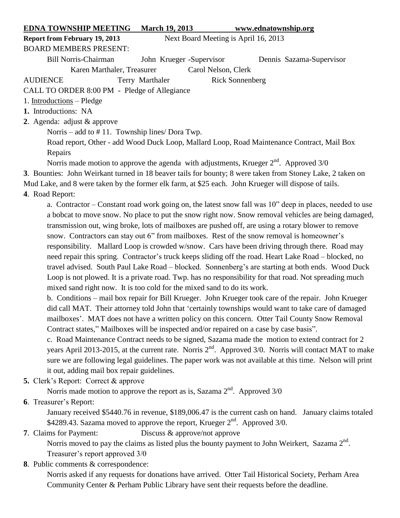## **EDNA TOWNSHIP MEETING March 19, 2013 www.ednatownship.org**

**Report from February 19, 2013** Next Board Meeting is April 16, 2013

## BOARD MEMBERS PRESENT:

Bill Norris-Chairman John Krueger -Supervisor Dennis Sazama-Supervisor Karen Marthaler, Treasurer Carol Nelson, Clerk

AUDIENCE Terry Marthaler Rick Sonnenberg

CALL TO ORDER 8:00 PM - Pledge of Allegiance

- 1. Introductions Pledge
- **1.** Introductions: NA
- **2**. Agenda: adjust & approve

Norris – add to # 11. Township lines/ Dora Twp.

Road report, Other - add Wood Duck Loop, Mallard Loop, Road Maintenance Contract, Mail Box Repairs

Norris made motion to approve the agenda with adjustments, Krueger  $2<sup>nd</sup>$ . Approved  $3/0$ 

**3**. Bounties: John Weirkant turned in 18 beaver tails for bounty; 8 were taken from Stoney Lake, 2 taken on Mud Lake, and 8 were taken by the former elk farm, at \$25 each. John Krueger will dispose of tails.

**4**. Road Report:

a. Contractor – Constant road work going on, the latest snow fall was 10" deep in places, needed to use a bobcat to move snow. No place to put the snow right now. Snow removal vehicles are being damaged, transmission out, wing broke, lots of mailboxes are pushed off, are using a rotary blower to remove snow. Contractors can stay out 6" from mailboxes. Rest of the snow removal is homeowner's responsibility. Mallard Loop is crowded w/snow. Cars have been driving through there. Road may need repair this spring. Contractor's truck keeps sliding off the road. Heart Lake Road – blocked, no travel advised. South Paul Lake Road – blocked. Sonnenberg's are starting at both ends. Wood Duck Loop is not plowed. It is a private road. Twp. has no responsibility for that road. Not spreading much mixed sand right now. It is too cold for the mixed sand to do its work.

b. Conditions – mail box repair for Bill Krueger. John Krueger took care of the repair. John Krueger did call MAT. Their attorney told John that 'certainly townships would want to take care of damaged mailboxes'. MAT does not have a written policy on this concern. Otter Tail County Snow Removal Contract states," Mailboxes will be inspected and/or repaired on a case by case basis".

c. Road Maintenance Contract needs to be signed, Sazama made the motion to extend contract for 2 years April 2013-2015, at the current rate. Norris 2<sup>nd</sup>. Approved 3/0. Norris will contact MAT to make sure we are following legal guidelines. The paper work was not available at this time. Nelson will print it out, adding mail box repair guidelines.

**5.** Clerk's Report: Correct & approve

Norris made motion to approve the report as is, Sazama  $2<sup>nd</sup>$ . Approved 3/0

**6**. Treasurer's Report:

January received \$5440.76 in revenue, \$189,006.47 is the current cash on hand. January claims totaled \$4289.43. Sazama moved to approve the report, Krueger  $2<sup>nd</sup>$ . Approved 3/0.

# **7**. Claims for Payment: Discuss & approve/not approve

Norris moved to pay the claims as listed plus the bounty payment to John Weirkert, Sazama  $2<sup>nd</sup>$ . Treasurer's report approved 3/0

**8**. Public comments & correspondence:

Norris asked if any requests for donations have arrived. Otter Tail Historical Society, Perham Area Community Center & Perham Public Library have sent their requests before the deadline.